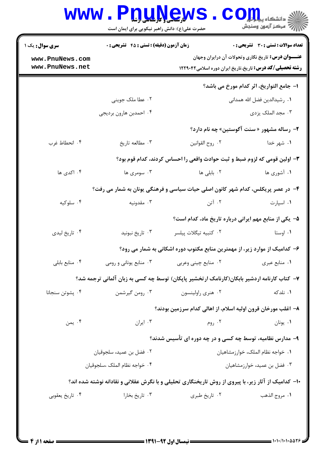|                                                                                 | <b>WWW.PDUNGW</b><br>حضرت علی(ع): دانش راهبر نیکویی برای ایمان است        |                                   | رِ ۖ مرڪز آزمون وسنڊش                                                                                                        |  |  |
|---------------------------------------------------------------------------------|---------------------------------------------------------------------------|-----------------------------------|------------------------------------------------------------------------------------------------------------------------------|--|--|
| <b>سری سوال :</b> یک ۱                                                          | <b>زمان آزمون (دقیقه) : تستی : 45 قشریحی : 0</b>                          |                                   | <b>تعداد سوالات : تستی : 30 ٪ تشریحی : 0</b>                                                                                 |  |  |
| www.PnuNews.com<br>www.PnuNews.net                                              |                                                                           |                                   | <b>عنـــوان درس:</b> تاریخ نگاری وتحولات آن درایران وجهان<br><b>رشته تحصیلی/کد درس:</b> تاریخ،تاریخ ایران دوره اسلامی۱۲۲۹۰۴۲ |  |  |
|                                                                                 |                                                                           |                                   | ا– جامع التواريخ، اثر كدام مورخ مي باشد؟                                                                                     |  |  |
|                                                                                 | ۰۲ عطا ملک جوینی                                                          |                                   | ٠١. رشيدالدين فضل الله همداني                                                                                                |  |  |
|                                                                                 | ۰۴ احمدبن هارون برديجي                                                    |                                   | ۰۳ مجد الملک یزدی                                                                                                            |  |  |
|                                                                                 |                                                                           |                                   | ۲- رساله مشهور « سنت آگوستین» چه نام دارد؟                                                                                   |  |  |
| ۰۴ انحطاط غرب                                                                   | ۰۳ مطالعه تاريخ                                                           | ٠٢ روح القوانين                   | ۱. شهر خدا                                                                                                                   |  |  |
|                                                                                 | ۳- اولین قومی که لزوم ضبط و ثبت حوادث واقعی را احساس کردند، کدام قوم بود؟ |                                   |                                                                                                                              |  |  |
| ۰۴ اکدی ها                                                                      | ۰۳ سومری ها                                                               | ۰۲ بابلی ها                       | ۱. آشوری ها                                                                                                                  |  |  |
| ۴- در عصر پریکلس، کدام شهر کانون اصلی حیات سیاسی و فرهنگی یونان به شمار می رفت؟ |                                                                           |                                   |                                                                                                                              |  |  |
| ۰۴ سلوکیه                                                                       | ۰۳ مقدونیه                                                                | ۰۲ آتن                            | ۰۱ اسپارت                                                                                                                    |  |  |
|                                                                                 |                                                                           |                                   | ۵– یکی از منابع مهم ایرانی درباره تاریخ ماد، کدام است؟                                                                       |  |  |
| ۰۴ تاريخ ليدي                                                                   | ۰۳ تاريخ نبونيد                                                           | ٠٢ كتبيه تيگلات پيلسر             | ۰۱ اوستا                                                                                                                     |  |  |
|                                                                                 |                                                                           |                                   | ۶- کدامیک از موارد زیر، از مهمترین منابع مکتوب دوره اشکانی به شمار می رود؟                                                   |  |  |
| ۰۴ منابع بابلي                                                                  | ۰۳ منابع یونانی و رومی $\cdot$ ۳                                          | ۰۲ منایع چینی وعربی               | ۰۱ منابع عبري                                                                                                                |  |  |
|                                                                                 |                                                                           |                                   | ۷–  کتاب کارنامه اردشیر بابکان(کارنامک ارتخشیر پاپکان) توسط چه کسی به زبان آلمانی ترجمه شد؟                                  |  |  |
| ۰۴ پشوتن سنجانا                                                                 | ۰۳ رومن گیرشمن                                                            | ۰۲ هنري راولينسون                 | ۰۱ نلدکه                                                                                                                     |  |  |
|                                                                                 |                                                                           |                                   | ۸– اغلب مورخان قرون اولیه اسلام، از اهالی کدام سرزمین بودند؟                                                                 |  |  |
| ۰۴ يمن                                                                          | ۰۳ ایران                                                                  | ۰۲ روم                            | ۰۱ يونان                                                                                                                     |  |  |
|                                                                                 |                                                                           |                                   | ۹- مدارس نظامیه، توسط چه کسی و در چه دوره ای تأسیس شدند؟                                                                     |  |  |
|                                                                                 | ۰۲ فضل بن عميد، سلجوقيان                                                  | ٠١ خواجه نظام الملك، خوارزمشاهيان |                                                                                                                              |  |  |
|                                                                                 | ٠۴ خواجه نظام الملك ،سلجوقيان                                             | ۰۳ فضل بن عمید، خوارزمشاهیان      |                                                                                                                              |  |  |
|                                                                                 |                                                                           |                                   | ۱۰– کدامیک از آثار زیر، با پیروی از روش تاریخنگاری تحلیلی و با نگرش عقلانی و نقادانه نوشته شده اند؟                          |  |  |
| ۰۴ تاریخ یعقوبی                                                                 | ۰۳ تاريخ بخارا                                                            | ۰۲ تاريخ طبري                     | ٠١ مروج الذهب                                                                                                                |  |  |
|                                                                                 |                                                                           |                                   |                                                                                                                              |  |  |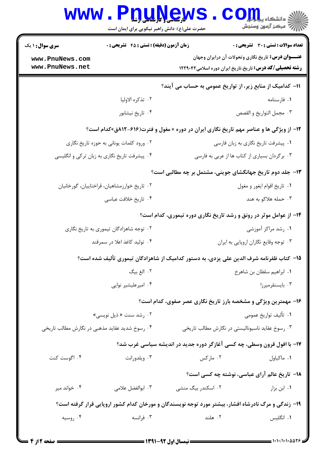|                                                           | www.PnuNew<br>حضرت علی(ع): دانش راهبر نیکویی برای ایمان است                                         |                       | د<br>ان دانشڪاء پي <mark>ا ۾ لور</mark><br>ا                                                                                  |  |
|-----------------------------------------------------------|-----------------------------------------------------------------------------------------------------|-----------------------|-------------------------------------------------------------------------------------------------------------------------------|--|
| <b>سری سوال : ۱ یک</b>                                    | <b>زمان آزمون (دقیقه) : تستی : 45 تشریحی : 0</b>                                                    |                       | تعداد سوالات : تستي : 30 ٪ تشريحي : 0                                                                                         |  |
| www.PnuNews.com<br>www.PnuNews.net                        |                                                                                                     |                       | <b>عنـــوان درس:</b> تاریخ نگاری وتحولات آن درایران وجهان<br><b>رشته تحصیلی/کد درس:</b> تاریخ،تاریخ ایران دوره اسلامی ۱۲۲۹۰۴۲ |  |
| 11– کدامیک از منابع زیر، از تواریخ عمومی به حساب می آیند؟ |                                                                                                     |                       |                                                                                                                               |  |
|                                                           | ٠٢ تذكره الاوليا                                                                                    |                       | ۰۱ فارسنامه                                                                                                                   |  |
|                                                           | ۰۴ تاریخ نیشابور                                                                                    |                       | ٠٣ مجمل التواريخ و القصص                                                                                                      |  |
|                                                           | ۱۲- از ویژگی ها و عناصر مهم تاریخ نگاری ایران در دوره « مغول و فترت(۶۱۶-۸۱۲ق»کدام است؟              |                       |                                                                                                                               |  |
|                                                           | ۰۲ ورود کلمات یونانی به حوزه تاریخ نگاری                                                            |                       | ۰۱ پیشرفت تاریخ نگاری به زبان فارسی                                                                                           |  |
|                                                           | ۰۴ پیشرفت تاریخ نگاری به زبان ترکی و انگلیسی                                                        |                       | ۰۳ برگردان بسیاری از کتاب ها از عربی به فارسی                                                                                 |  |
|                                                           |                                                                                                     |                       | ۱۳- جلد دوم تاریخ جهانگشای جوینی، مشتمل بر چه مطالبی است؟                                                                     |  |
|                                                           | ۰۲ تاریخ خوارزمشاهیان، قراختاییان، گورخانیان                                                        |                       | ۰۱ تاريخ اقوام ايغور و مغول                                                                                                   |  |
|                                                           | ۰۴ تاریخ خلافت عباسی                                                                                |                       | ۰۳ حمله هلاکو به هند                                                                                                          |  |
|                                                           |                                                                                                     |                       | ۱۴- از عوامل موثر در رونق و رشد تاریخ نگاری دوره تیموری، کدام است؟                                                            |  |
| ۰۲ توجه شاهزادگان تیموری به تاریخ نگاری                   |                                                                                                     | ۰۱ رشد مراکز آموزشی   |                                                                                                                               |  |
| ۰۴ تولید کاغذ اعلا در سمرقند                              |                                                                                                     |                       | ۰۳ توجه وقایع نگاران اروپایی به ایران                                                                                         |  |
|                                                           | ۱۵− کتاب ظفرنامه شرف الدین علی یزدی، به دستور کدامیک از شاهزادگان تیموری تألیف شده است؟             |                       |                                                                                                                               |  |
|                                                           | ٢. الغ بيگ                                                                                          |                       | ٠١. ابراهيم سلطان بن شاهرخ                                                                                                    |  |
| ۰۴ امیرعلیشیر نوایی                                       |                                                                                                     | ۰۳ بايسنقرميرزا       |                                                                                                                               |  |
|                                                           |                                                                                                     |                       | ۱۶- مهمترین ویژگی و مشخصه بارز تاریخ نگاری عصر صفوی، کدام است؟                                                                |  |
| ۰۲ رشد سنت « ذیل نویسی»                                   |                                                                                                     | ۰۱ تأليف تواريخ عمومي |                                                                                                                               |  |
| ۰۴ رسوخ شدید عقاید مذهبی در نگارش مطالب تاریخی            |                                                                                                     |                       | ۰۳ رسوخ عقاید ناسیونالیستی در نگارش مطالب تاریخی                                                                              |  |
|                                                           |                                                                                                     |                       | ۱۷- با افول قرون وسطی، چه کسی آغازگر دوره جدید در اندیشه سیاسی غرب شد؟                                                        |  |
| ۰۴ اگوست کنت                                              | ۰۳ ویلدورانت                                                                                        | ۰۲ مارکس              | ٠١. ماكياول                                                                                                                   |  |
|                                                           |                                                                                                     |                       | <b>۱۸</b> - تاریخ عالم آرای عباسی، نوشته چه کسی است؟                                                                          |  |
| ۰۴ خواند میر                                              | ۰۳ ابوالفضل علامی                                                                                   | ۰۲ اسکندر بیگ منشی    | ۰۱ ابن بزار                                                                                                                   |  |
|                                                           | ۱۹- زندگی و مرگ نادرشاه افشار، بیشتر مورد توجه نویسندگان و مورخان کدام کشور اروپایی قرار گرفته است؟ |                       |                                                                                                                               |  |
| ۰۴ روسیه                                                  | ۰۳ فرانسه                                                                                           | ۰۲ هلند               | ۰۱ انگلیس                                                                                                                     |  |
|                                                           |                                                                                                     |                       |                                                                                                                               |  |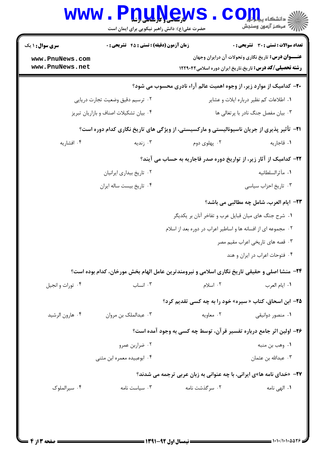|                                    | حضرت علی(ع): دانش راهبر نیکویی برای ایمان است                                                        |                                                                              | رِ ۖ مرڪز آزمون وسنڊش                                                                                                        |
|------------------------------------|------------------------------------------------------------------------------------------------------|------------------------------------------------------------------------------|------------------------------------------------------------------------------------------------------------------------------|
| <b>سری سوال : ۱ یک</b>             | <b>زمان آزمون (دقیقه) : تستی : 45 تشریحی : 0</b>                                                     |                                                                              | تعداد سوالات : تستى : 30 ٪ تشريحي : 0                                                                                        |
| www.PnuNews.com<br>www.PnuNews.net |                                                                                                      |                                                                              | <b>عنـــوان درس:</b> تاریخ نگاری وتحولات آن درایران وجهان<br><b>رشته تحصیلی/کد درس:</b> تاریخ،تاریخ ایران دوره اسلامی۱۲۲۹۰۴۲ |
|                                    |                                                                                                      | <b>۲۰</b> - کدامیک از موارد زیر، از وجوه اهمیت عالم آراء نادری محسوب می شود؟ |                                                                                                                              |
|                                    | ۰۲ ترسیم دقیق وضعیت تجارت دریایی                                                                     | ۰۱ اطلاعات کم نظیر درباره ایلات و عشایر                                      |                                                                                                                              |
|                                    | ۰۴ بیان تشکیلات اصناف و بازاریان تبریز                                                               | ۰۳ بیان مفصل جنگ نادر با پرتغالی ها                                          |                                                                                                                              |
|                                    | <b>۲۱</b> - تأثیر پذیری از جریان ناسیونالیستی و مارکسیستی، از ویژگی های تاریخ نگاری کدام دوره است؟   |                                                                              |                                                                                                                              |
| ۰۴ افشاریه                         | ۰۳ زندیه                                                                                             | ۰۲ پهلوی دوم                                                                 | ٠١. قاجاريه                                                                                                                  |
|                                    |                                                                                                      | ۲۲- کدامیک از آثار زیر، از تواریخ دوره صدر قاجاریه به حساب می آیند؟          |                                                                                                                              |
| ۰۲ تاریخ بیداری ایرانیان           |                                                                                                      | ۰۱ مآثرالسلطانيه                                                             |                                                                                                                              |
|                                    | ۰۴ تاريخ بيست ساله ايران                                                                             |                                                                              | ۰۳ تاریخ احزاب سیاسی                                                                                                         |
|                                    |                                                                                                      |                                                                              | <b>۲۳</b> - ایام العرب، شامل چه مطالبی می باشد؟                                                                              |
|                                    |                                                                                                      | ۰۱ شرح جنگ های میان قبایل عرب و تفاخر آنان بر یکدیگر                         |                                                                                                                              |
|                                    |                                                                                                      | ۰۲ مجموعه ای از افسانه ها و اساطیر اعراب در دوره بعد از اسلام                |                                                                                                                              |
|                                    |                                                                                                      |                                                                              | ۰۳ قصه های تاریخی اعراب مقیم مصر                                                                                             |
|                                    |                                                                                                      |                                                                              | ۰۴ فتوحات اعراب در ایران و هند                                                                                               |
|                                    | <b>34</b> - منشا اصلی و حقیقی تاریخ نگاری اسلامی و نیرومندترین عامل الهام بخش مورخان، کدام بوده است؟ |                                                                              |                                                                                                                              |
| ۰۴ تورات و انجيل                   | ۰۳ انساب                                                                                             | ۰۲ اسلام                                                                     | ٠١. ايام العرب                                                                                                               |
|                                    |                                                                                                      | <b>۲۵- ابن اسحاق، کتاب « سیره» خود را به چه کسی تقدیم کرد؟</b>               |                                                                                                                              |
| ۰۴ هارون الرشيد                    | ۰۳ عبدالملک بن مروان                                                                                 | ۰۲ معاویه                                                                    | ۰۱ منصور دوانیقی                                                                                                             |
|                                    |                                                                                                      | ۲۶- اولین اثر جامع درباره تفسیر قرآن، توسط چه کسی به وجود آمده است؟          |                                                                                                                              |
|                                    | ۰۲ ضراربن عمرو                                                                                       |                                                                              | ۰۱ وهب بن منبه                                                                                                               |
|                                    | ۰۴ ابوعبیده معمره ابن مثنی                                                                           |                                                                              | ۰۳ عبدالله بن عثمان                                                                                                          |
|                                    |                                                                                                      | <b>۲۷- «خدای نامه ها»ی ایرانی، با چه عنوانی به زبان عربی ترجمه می شدند؟</b>  |                                                                                                                              |
| ۰۴ سیرالملوک                       | ۰۳ سیاست نامه                                                                                        | ۰۲ سرگذشت نامه                                                               | ۰۱ الهی نامه                                                                                                                 |